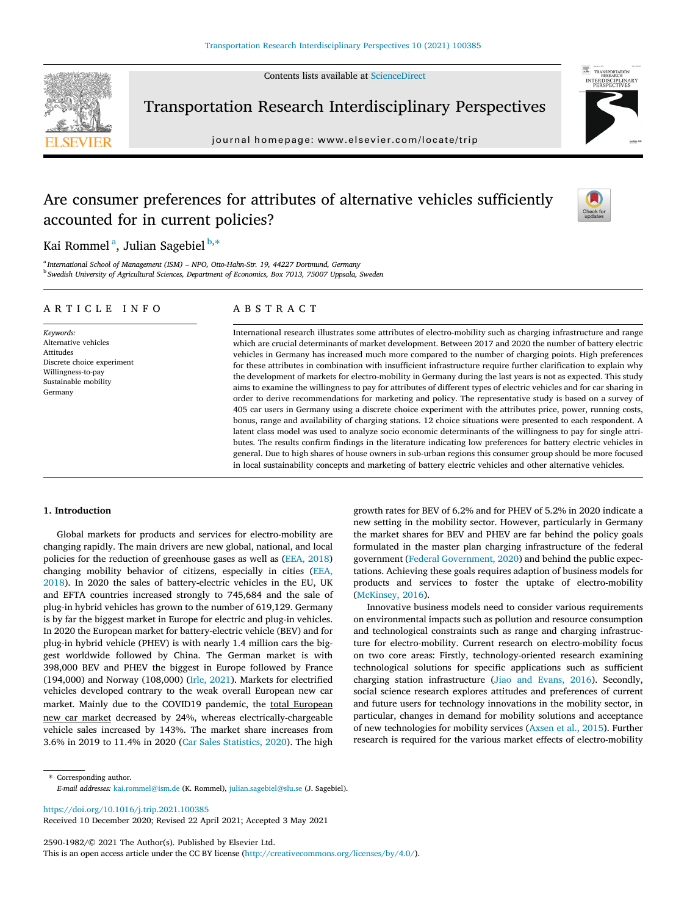Contents lists available at [ScienceDirect](http://www.sciencedirect.com/science/journal/25901982)



Transportation Research Interdisciplinary Perspectives

journal homepage: [www.elsevier.com/locate/trip](http://www.elsevier.com/locate/trip)



# Are consumer preferences for attributes of alternative vehicles sufficiently accounted for in current policies?



Kai Rommel<sup>a</sup>, Julian Sagebiel<sup>b,\*</sup>

<sup>a</sup> International School of Management (ISM) - NPO, Otto-Hahn-Str. 19, 44227 Dortmund, Germany <sup>b</sup> Swedish University of Agricultural Sciences, Department of Economics, Box 7013, 75007 Uppsala, Sweden

## ARTICLE INFO

Keywords: Alternative vehicles Attitudes Discrete choice experiment Willingness‐to‐pay Sustainable mobility Germany

# ABSTRACT

International research illustrates some attributes of electro‐mobility such as charging infrastructure and range which are crucial determinants of market development. Between 2017 and 2020 the number of battery electric vehicles in Germany has increased much more compared to the number of charging points. High preferences for these attributes in combination with insufficient infrastructure require further clarification to explain why the development of markets for electro-mobility in Germany during the last years is not as expected. This study aims to examine the willingness to pay for attributes of different types of electric vehicles and for car sharing in order to derive recommendations for marketing and policy. The representative study is based on a survey of 405 car users in Germany using a discrete choice experiment with the attributes price, power, running costs, bonus, range and availability of charging stations. 12 choice situations were presented to each respondent. A latent class model was used to analyze socio economic determinants of the willingness to pay for single attributes. The results confirm findings in the literature indicating low preferences for battery electric vehicles in general. Due to high shares of house owners in sub-urban regions this consumer group should be more focused in local sustainability concepts and marketing of battery electric vehicles and other alternative vehicles.

# 1. Introduction

Global markets for products and services for electro‐mobility are changing rapidly. The main drivers are new global, national, and local policies for the reduction of greenhouse gases as well as [\(EEA, 2018\)](#page-6-0) changing mobility behavior of citizens, especially in cities ([EEA,](#page-6-0) [2018\)](#page-6-0). In 2020 the sales of battery‐electric vehicles in the EU, UK and EFTA countries increased strongly to 745,684 and the sale of plug‐in hybrid vehicles has grown to the number of 619,129. Germany is by far the biggest market in Europe for electric and plug-in vehicles. In 2020 the European market for battery‐electric vehicle (BEV) and for plug‐in hybrid vehicle (PHEV) is with nearly 1.4 million cars the biggest worldwide followed by China. The German market is with 398,000 BEV and PHEV the biggest in Europe followed by France (194,000) and Norway (108,000) ([Irle, 2021](#page-6-0)). Markets for electrified vehicles developed contrary to the weak overall European new car market. Mainly due to the COVID19 pandemic, the total European new car market decreased by 24%, whereas electrically‐chargeable vehicle sales increased by 143%. The market share increases from 3.6% in 2019 to 11.4% in 2020 [\(Car Sales Statistics, 2020\)](#page-6-0). The high growth rates for BEV of 6.2% and for PHEV of 5.2% in 2020 indicate a new setting in the mobility sector. However, particularly in Germany the market shares for BEV and PHEV are far behind the policy goals formulated in the master plan charging infrastructure of the federal government ([Federal Government, 2020\)](#page-6-0) and behind the public expectations. Achieving these goals requires adaption of business models for products and services to foster the uptake of electro‐mobility ([McKinsey, 2016\)](#page-6-0).

Innovative business models need to consider various requirements on environmental impacts such as pollution and resource consumption and technological constraints such as range and charging infrastructure for electro-mobility. Current research on electro-mobility focus on two core areas: Firstly, technology‐oriented research examining technological solutions for specific applications such as sufficient charging station infrastructure ([Jiao and Evans, 2016](#page-6-0)). Secondly, social science research explores attitudes and preferences of current and future users for technology innovations in the mobility sector, in particular, changes in demand for mobility solutions and acceptance of new technologies for mobility services [\(Axsen et al., 2015](#page-6-0)). Further research is required for the various market effects of electro-mobility

⇑ Corresponding author. E-mail addresses: [kai.rommel@ism.de](mailto:kai.rommel@ism.de) (K. Rommel), [julian.sagebiel@slu.se](mailto:julian.sagebiel@slu.se) (J. Sagebiel).

<https://doi.org/10.1016/j.trip.2021.100385> Received 10 December 2020; Revised 22 April 2021; Accepted 3 May 2021

2590-1982/© 2021 The Author(s). Published by Elsevier Ltd. This is an open access article under the CC BY license [\(http://creativecommons.org/licenses/by/4.0/](http://creativecommons.org/licenses/by/4.0/)).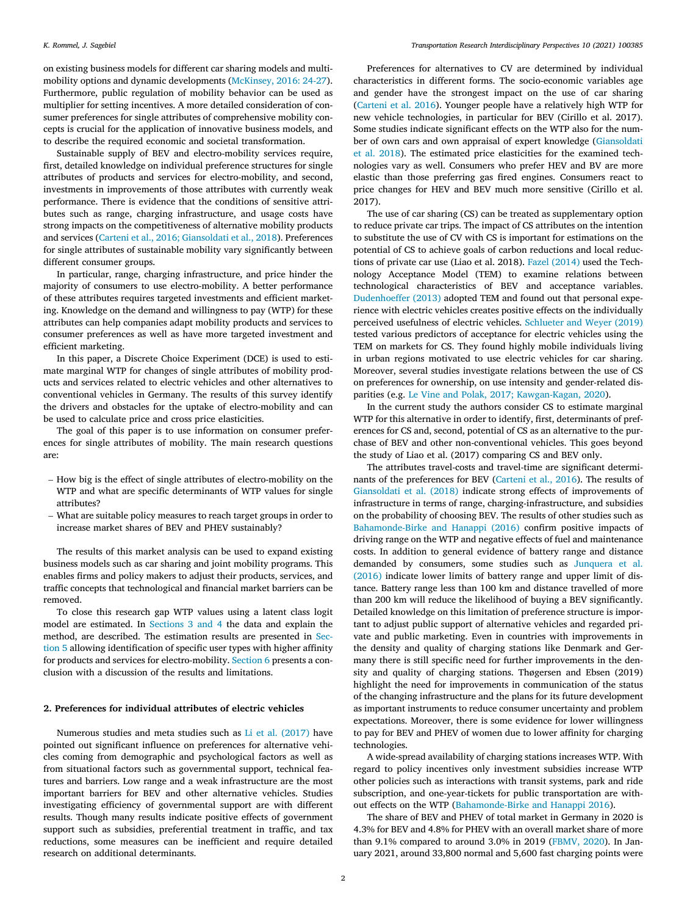<span id="page-1-0"></span>on existing business models for different car sharing models and multi‐ mobility options and dynamic developments ([McKinsey, 2016: 24](#page-6-0)‐27). Furthermore, public regulation of mobility behavior can be used as multiplier for setting incentives. A more detailed consideration of consumer preferences for single attributes of comprehensive mobility concepts is crucial for the application of innovative business models, and to describe the required economic and societal transformation.

Sustainable supply of BEV and electro-mobility services require, first, detailed knowledge on individual preference structures for single attributes of products and services for electro‐mobility, and second, investments in improvements of those attributes with currently weak performance. There is evidence that the conditions of sensitive attributes such as range, charging infrastructure, and usage costs have strong impacts on the competitiveness of alternative mobility products and services ([Carteni et al., 2016; Giansoldati et al., 2018](#page-6-0)). Preferences for single attributes of sustainable mobility vary significantly between different consumer groups.

In particular, range, charging infrastructure, and price hinder the majority of consumers to use electro‐mobility. A better performance of these attributes requires targeted investments and efficient marketing. Knowledge on the demand and willingness to pay (WTP) for these attributes can help companies adapt mobility products and services to consumer preferences as well as have more targeted investment and efficient marketing.

In this paper, a Discrete Choice Experiment (DCE) is used to estimate marginal WTP for changes of single attributes of mobility products and services related to electric vehicles and other alternatives to conventional vehicles in Germany. The results of this survey identify the drivers and obstacles for the uptake of electro-mobility and can be used to calculate price and cross price elasticities.

The goal of this paper is to use information on consumer preferences for single attributes of mobility. The main research questions are:

- How big is the effect of single attributes of electro‐mobility on the WTP and what are specific determinants of WTP values for single attributes?
- What are suitable policy measures to reach target groups in order to increase market shares of BEV and PHEV sustainably?

The results of this market analysis can be used to expand existing business models such as car sharing and joint mobility programs. This enables firms and policy makers to adjust their products, services, and traffic concepts that technological and financial market barriers can be removed.

To close this research gap WTP values using a latent class logit model are estimated. In [Sections 3 and 4](#page-2-0) the data and explain the method, are described. The estimation results are presented in [Sec](#page-3-0)[tion 5](#page-3-0) allowing identification of specific user types with higher affinity for products and services for electro-mobility. [Section 6](#page-5-0) presents a conclusion with a discussion of the results and limitations.

#### 2. Preferences for individual attributes of electric vehicles

Numerous studies and meta studies such as [Li et al. \(2017\)](#page-6-0) have pointed out significant influence on preferences for alternative vehicles coming from demographic and psychological factors as well as from situational factors such as governmental support, technical features and barriers. Low range and a weak infrastructure are the most important barriers for BEV and other alternative vehicles. Studies investigating efficiency of governmental support are with different results. Though many results indicate positive effects of government support such as subsidies, preferential treatment in traffic, and tax reductions, some measures can be inefficient and require detailed research on additional determinants.

Preferences for alternatives to CV are determined by individual characteristics in different forms. The socio‐economic variables age and gender have the strongest impact on the use of car sharing ([Carteni et al. 2016\)](#page-6-0). Younger people have a relatively high WTP for new vehicle technologies, in particular for BEV (Cirillo et al. 2017). Some studies indicate significant effects on the WTP also for the number of own cars and own appraisal of expert knowledge ([Giansoldati](#page-6-0) [et al. 2018](#page-6-0)). The estimated price elasticities for the examined technologies vary as well. Consumers who prefer HEV and BV are more elastic than those preferring gas fired engines. Consumers react to price changes for HEV and BEV much more sensitive (Cirillo et al. 2017).

The use of car sharing (CS) can be treated as supplementary option to reduce private car trips. The impact of CS attributes on the intention to substitute the use of CV with CS is important for estimations on the potential of CS to achieve goals of carbon reductions and local reductions of private car use (Liao et al. 2018). [Fazel \(2014\)](#page-6-0) used the Technology Acceptance Model (TEM) to examine relations between technological characteristics of BEV and acceptance variables. [Dudenhoeffer \(2013\)](#page-6-0) adopted TEM and found out that personal experience with electric vehicles creates positive effects on the individually perceived usefulness of electric vehicles. [Schlueter and Weyer \(2019\)](#page-6-0) tested various predictors of acceptance for electric vehicles using the TEM on markets for CS. They found highly mobile individuals living in urban regions motivated to use electric vehicles for car sharing. Moreover, several studies investigate relations between the use of CS on preferences for ownership, on use intensity and gender‐related dis-parities (e.g. [Le Vine and Polak, 2017; Kawgan](#page-6-0)-Kagan, 2020).

In the current study the authors consider CS to estimate marginal WTP for this alternative in order to identify, first, determinants of preferences for CS and, second, potential of CS as an alternative to the purchase of BEV and other non‐conventional vehicles. This goes beyond the study of Liao et al. (2017) comparing CS and BEV only.

The attributes travel-costs and travel-time are significant determinants of the preferences for BEV ([Carteni et al., 2016](#page-6-0)). The results of [Giansoldati et al. \(2018\)](#page-6-0) indicate strong effects of improvements of infrastructure in terms of range, charging‐infrastructure, and subsidies on the probability of choosing BEV. The results of other studies such as [Bahamonde](#page-6-0)‐[Birke and Hanappi \(2016\)](#page-6-0) confirm positive impacts of driving range on the WTP and negative effects of fuel and maintenance costs. In addition to general evidence of battery range and distance demanded by consumers, some studies such as [Junquera et al.](#page-6-0) [\(2016\)](#page-6-0) indicate lower limits of battery range and upper limit of distance. Battery range less than 100 km and distance travelled of more than 200 km will reduce the likelihood of buying a BEV significantly. Detailed knowledge on this limitation of preference structure is important to adjust public support of alternative vehicles and regarded private and public marketing. Even in countries with improvements in the density and quality of charging stations like Denmark and Germany there is still specific need for further improvements in the density and quality of charging stations. Thøgersen and Ebsen (2019) highlight the need for improvements in communication of the status of the changing infrastructure and the plans for its future development as important instruments to reduce consumer uncertainty and problem expectations. Moreover, there is some evidence for lower willingness to pay for BEV and PHEV of women due to lower affinity for charging technologies.

A wide‐spread availability of charging stations increases WTP. With regard to policy incentives only investment subsidies increase WTP other policies such as interactions with transit systems, park and ride subscription, and one-year-tickets for public transportation are without effects on the WTP [\(Bahamonde](#page-6-0)‐[Birke and Hanappi 2016\)](#page-6-0).

The share of BEV and PHEV of total market in Germany in 2020 is 4.3% for BEV and 4.8% for PHEV with an overall market share of more than 9.1% compared to around 3.0% in 2019 ([FBMV, 2020](#page-6-0)). In January 2021, around 33,800 normal and 5,600 fast charging points were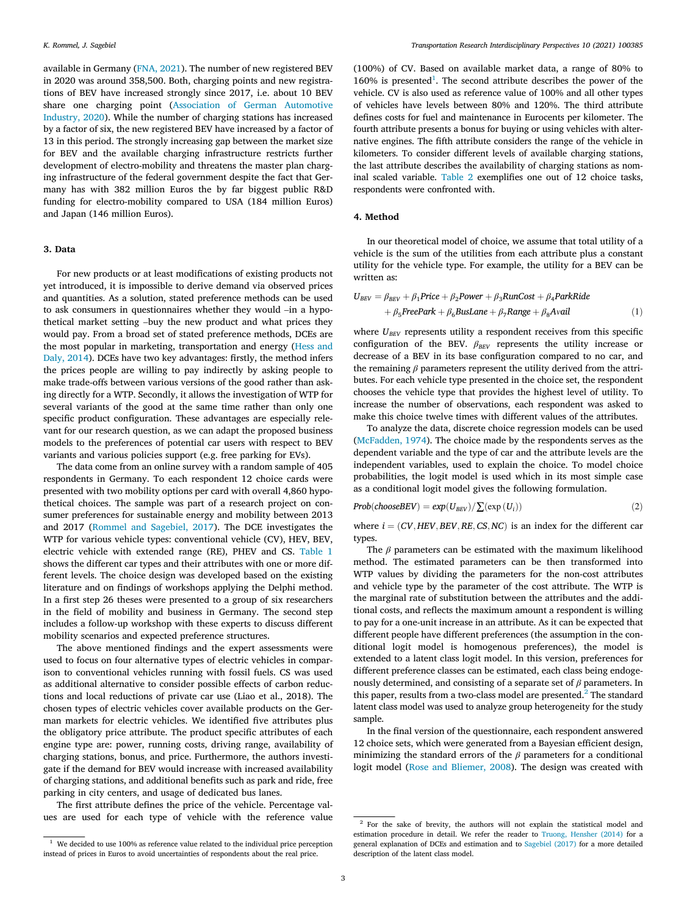<span id="page-2-0"></span>available in Germany ([FNA, 2021](#page-6-0)). The number of new registered BEV in 2020 was around 358,500. Both, charging points and new registrations of BEV have increased strongly since 2017, i.e. about 10 BEV share one charging point [\(Association of German Automotive](#page-6-0) [Industry, 2020\)](#page-6-0). While the number of charging stations has increased by a factor of six, the new registered BEV have increased by a factor of 13 in this period. The strongly increasing gap between the market size for BEV and the available charging infrastructure restricts further development of electro-mobility and threatens the master plan charging infrastructure of the federal government despite the fact that Germany has with 382 million Euros the by far biggest public R&D funding for electro-mobility compared to USA (184 million Euros) and Japan (146 million Euros).

#### 3. Data

For new products or at least modifications of existing products not yet introduced, it is impossible to derive demand via observed prices and quantities. As a solution, stated preference methods can be used to ask consumers in questionnaires whether they would –in a hypothetical market setting –buy the new product and what prices they would pay. From a broad set of stated preference methods, DCEs are the most popular in marketing, transportation and energy ([Hess and](#page-6-0) [Daly, 2014\)](#page-6-0). DCEs have two key advantages: firstly, the method infers the prices people are willing to pay indirectly by asking people to make trade‐offs between various versions of the good rather than asking directly for a WTP. Secondly, it allows the investigation of WTP for several variants of the good at the same time rather than only one specific product configuration. These advantages are especially relevant for our research question, as we can adapt the proposed business models to the preferences of potential car users with respect to BEV variants and various policies support (e.g. free parking for EVs).

The data come from an online survey with a random sample of 405 respondents in Germany. To each respondent 12 choice cards were presented with two mobility options per card with overall 4,860 hypothetical choices. The sample was part of a research project on consumer preferences for sustainable energy and mobility between 2013 and 2017 [\(Rommel and Sagebiel, 2017](#page-6-0)). The DCE investigates the WTP for various vehicle types: conventional vehicle (CV), HEV, BEV, electric vehicle with extended range (RE), PHEV and CS. [Table 1](#page-3-0) shows the different car types and their attributes with one or more different levels. The choice design was developed based on the existing literature and on findings of workshops applying the Delphi method. In a first step 26 theses were presented to a group of six researchers in the field of mobility and business in Germany. The second step includes a follow‐up workshop with these experts to discuss different mobility scenarios and expected preference structures.

The above mentioned findings and the expert assessments were used to focus on four alternative types of electric vehicles in comparison to conventional vehicles running with fossil fuels. CS was used as additional alternative to consider possible effects of carbon reductions and local reductions of private car use (Liao et al., 2018). The chosen types of electric vehicles cover available products on the German markets for electric vehicles. We identified five attributes plus the obligatory price attribute. The product specific attributes of each engine type are: power, running costs, driving range, availability of charging stations, bonus, and price. Furthermore, the authors investigate if the demand for BEV would increase with increased availability of charging stations, and additional benefits such as park and ride, free parking in city centers, and usage of dedicated bus lanes.

The first attribute defines the price of the vehicle. Percentage values are used for each type of vehicle with the reference value

 $160\%$  is presented<sup>1</sup>. The second attribute describes the power of the vehicle. CV is also used as reference value of 100% and all other types of vehicles have levels between 80% and 120%. The third attribute defines costs for fuel and maintenance in Eurocents per kilometer. The fourth attribute presents a bonus for buying or using vehicles with alternative engines. The fifth attribute considers the range of the vehicle in kilometers. To consider different levels of available charging stations, the last attribute describes the availability of charging stations as nominal scaled variable. [Table 2](#page-3-0) exemplifies one out of 12 choice tasks, respondents were confronted with.

## 4. Method

In our theoretical model of choice, we assume that total utility of a vehicle is the sum of the utilities from each attribute plus a constant utility for the vehicle type. For example, the utility for a BEV can be written as:

$$
U_{BEV} = \beta_{BEV} + \beta_1 Price + \beta_2 Power + \beta_3 RunCost + \beta_4 ParkRide + \beta_5 Free Park + \beta_6 BusLane + \beta_7 Range + \beta_8 Avail
$$
 (1)

where  $U_{BEV}$  represents utility a respondent receives from this specific configuration of the BEV.  $\beta_{BEV}$  represents the utility increase or decrease of a BEV in its base configuration compared to no car, and the remaining  $\beta$  parameters represent the utility derived from the attributes. For each vehicle type presented in the choice set, the respondent chooses the vehicle type that provides the highest level of utility. To increase the number of observations, each respondent was asked to make this choice twelve times with different values of the attributes.

To analyze the data, discrete choice regression models can be used ([McFadden, 1974\)](#page-6-0). The choice made by the respondents serves as the dependent variable and the type of car and the attribute levels are the independent variables, used to explain the choice. To model choice probabilities, the logit model is used which in its most simple case as a conditional logit model gives the following formulation.

$$
Prob(chooseBEV) = exp(U_{BEV}) / \sum (exp(U_i))
$$
\n(2)

where  $i = (CV, HEV, BEV, RE, CS, NC)$  is an index for the different car types.

The  $\beta$  parameters can be estimated with the maximum likelihood method. The estimated parameters can be then transformed into WTP values by dividing the parameters for the non-cost attributes and vehicle type by the parameter of the cost attribute. The WTP is the marginal rate of substitution between the attributes and the additional costs, and reflects the maximum amount a respondent is willing to pay for a one‐unit increase in an attribute. As it can be expected that different people have different preferences (the assumption in the conditional logit model is homogenous preferences), the model is extended to a latent class logit model. In this version, preferences for different preference classes can be estimated, each class being endogenously determined, and consisting of a separate set of  $\beta$  parameters. In this paper, results from a two-class model are presented. $<sup>2</sup>$  The standard</sup> latent class model was used to analyze group heterogeneity for the study sample.

In the final version of the questionnaire, each respondent answered 12 choice sets, which were generated from a Bayesian efficient design, minimizing the standard errors of the  $\beta$  parameters for a conditional logit model ([Rose and Bliemer, 2008](#page-6-0)). The design was created with

<sup>(100%)</sup> of CV. Based on available market data, a range of 80% to

<sup>&</sup>lt;sup>2</sup> For the sake of brevity, the authors will not explain the statistical model and estimation procedure in detail. We refer the reader to [Truong, Hensher \(2014\)](#page-6-0) for a general explanation of DCEs and estimation and to [Sagebiel \(2017\)](#page-6-0) for a more detailed description of the latent class model.

 $^{\rm 1}$  We decided to use 100% as reference value related to the individual price perception instead of prices in Euros to avoid uncertainties of respondents about the real price.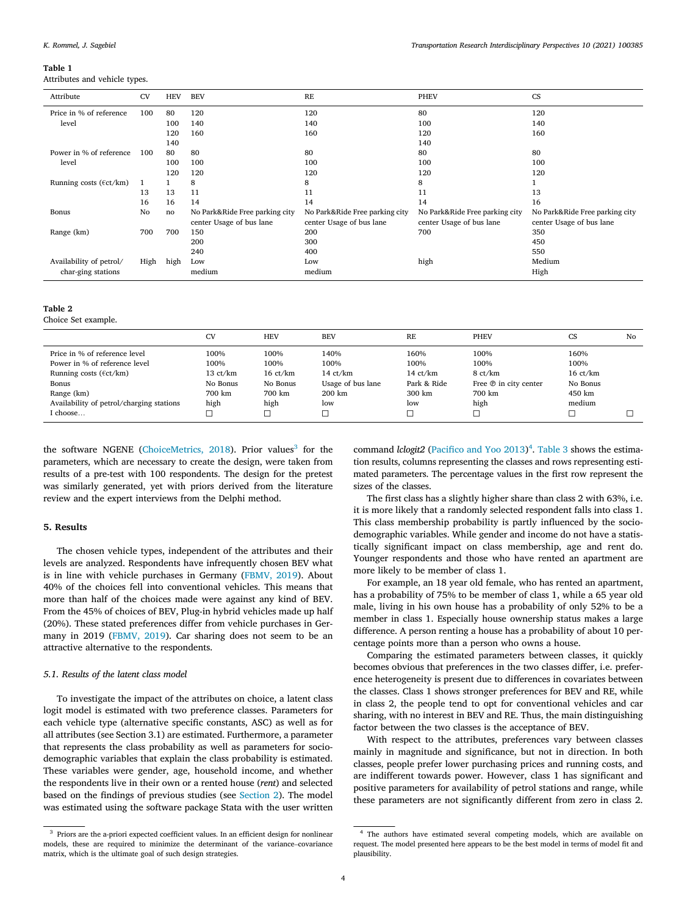#### <span id="page-3-0"></span>Table 1

Attributes and vehicle types.

| Attribute                         | <b>CV</b> | <b>HEV</b> | <b>BEV</b>                                                 | RE                                                         | <b>PHEV</b>                                                | <b>CS</b>                                                  |
|-----------------------------------|-----------|------------|------------------------------------------------------------|------------------------------------------------------------|------------------------------------------------------------|------------------------------------------------------------|
| Price in % of reference           | 100       | 80         | 120                                                        | 120                                                        | 80                                                         | 120                                                        |
| level                             |           | 100        | 140                                                        | 140                                                        | 100                                                        | 140                                                        |
|                                   |           | 120        | 160                                                        | 160                                                        | 120                                                        | 160                                                        |
|                                   |           | 140        |                                                            |                                                            | 140                                                        |                                                            |
| Power in % of reference           | 100       | 80         | 80                                                         | 80                                                         | 80                                                         | 80                                                         |
| level                             |           | 100        | 100                                                        | 100                                                        | 100                                                        | 100                                                        |
|                                   |           | 120        | 120                                                        | 120                                                        | 120                                                        | 120                                                        |
| Running costs ( $\text{fct/km}$ ) | 1         |            | 8                                                          | 8                                                          | 8                                                          |                                                            |
|                                   | 13        | 13         | 11                                                         | 11                                                         | 11                                                         | 13                                                         |
|                                   | 16        | 16         | 14                                                         | 14                                                         | 14                                                         | 16                                                         |
| Bonus                             | No        | no         | No Park&Ride Free parking city<br>center Usage of bus lane | No Park&Ride Free parking city<br>center Usage of bus lane | No Park&Ride Free parking city<br>center Usage of bus lane | No Park&Ride Free parking city<br>center Usage of bus lane |
| Range (km)                        | 700       | 700        | 150                                                        | 200                                                        | 700                                                        | 350                                                        |
|                                   |           |            | 200                                                        | 300                                                        |                                                            | 450                                                        |
|                                   |           |            | 240                                                        | 400                                                        |                                                            | 550                                                        |
| Availability of petrol/           | High      | high       | Low                                                        | Low                                                        | high                                                       | Medium                                                     |
| char-ging stations                |           |            | medium                                                     | medium                                                     |                                                            | High                                                       |

#### Table 2

Choice Set example.

|                                                                                                                         | <b>CV</b>                                      | <b>HEV</b>                                     | <b>BEV</b>                                              | <b>RE</b>                                 | <b>PHEV</b>                                                 | <b>CS</b>                                      | No |
|-------------------------------------------------------------------------------------------------------------------------|------------------------------------------------|------------------------------------------------|---------------------------------------------------------|-------------------------------------------|-------------------------------------------------------------|------------------------------------------------|----|
| Price in % of reference level<br>Power in % of reference level<br>Running costs ( $\left(\frac{\epsilon}{k}$ )<br>Bonus | 100%<br>100%<br>$13 \text{ ct/km}$<br>No Bonus | 100%<br>100%<br>$16 \text{ ct/km}$<br>No Bonus | 140%<br>100%<br>$14 \text{ ct/km}$<br>Usage of bus lane | 160%<br>100%<br>14 $ct/km$<br>Park & Ride | 100%<br>100%<br>8 ct/km<br>Free <sup>®</sup> in city center | 160%<br>100%<br>$16 \text{ ct/km}$<br>No Bonus |    |
| Range (km)<br>Availability of petrol/charging stations<br>I choose                                                      | 700 km<br>high                                 | 700 km<br>high                                 | 200 km<br>low                                           | 300 km<br>low                             | 700 km<br>high<br>с                                         | 450 km<br>medium                               |    |

the software NGENE ([ChoiceMetrics, 2018\)](#page-6-0). Prior values<sup>3</sup> for the parameters, which are necessary to create the design, were taken from results of a pre‐test with 100 respondents. The design for the pretest was similarly generated, yet with priors derived from the literature review and the expert interviews from the Delphi method.

# 5. Results

The chosen vehicle types, independent of the attributes and their levels are analyzed. Respondents have infrequently chosen BEV what is in line with vehicle purchases in Germany [\(FBMV, 2019](#page-6-0)). About 40% of the choices fell into conventional vehicles. This means that more than half of the choices made were against any kind of BEV. From the 45% of choices of BEV, Plug-in hybrid vehicles made up half (20%). These stated preferences differ from vehicle purchases in Germany in 2019 [\(FBMV, 2019\)](#page-6-0). Car sharing does not seem to be an attractive alternative to the respondents.

## 5.1. Results of the latent class model

To investigate the impact of the attributes on choice, a latent class logit model is estimated with two preference classes. Parameters for each vehicle type (alternative specific constants, ASC) as well as for all attributes (see Section 3.1) are estimated. Furthermore, a parameter that represents the class probability as well as parameters for socio‐ demographic variables that explain the class probability is estimated. These variables were gender, age, household income, and whether the respondents live in their own or a rented house (rent) and selected based on the findings of previous studies (see [Section 2\)](#page-1-0). The model was estimated using the software package Stata with the user written

command lclogit2 (Pacifi[co and Yoo 2013](#page-6-0))<sup>4</sup>. [Table 3](#page-4-0) shows the estimation results, columns representing the classes and rows representing estimated parameters. The percentage values in the first row represent the sizes of the classes.

The first class has a slightly higher share than class 2 with 63%, i.e. it is more likely that a randomly selected respondent falls into class 1. This class membership probability is partly influenced by the sociodemographic variables. While gender and income do not have a statistically significant impact on class membership, age and rent do. Younger respondents and those who have rented an apartment are more likely to be member of class 1.

For example, an 18 year old female, who has rented an apartment, has a probability of 75% to be member of class 1, while a 65 year old male, living in his own house has a probability of only 52% to be a member in class 1. Especially house ownership status makes a large difference. A person renting a house has a probability of about 10 percentage points more than a person who owns a house.

Comparing the estimated parameters between classes, it quickly becomes obvious that preferences in the two classes differ, i.e. preference heterogeneity is present due to differences in covariates between the classes. Class 1 shows stronger preferences for BEV and RE, while in class 2, the people tend to opt for conventional vehicles and car sharing, with no interest in BEV and RE. Thus, the main distinguishing factor between the two classes is the acceptance of BEV.

With respect to the attributes, preferences vary between classes mainly in magnitude and significance, but not in direction. In both classes, people prefer lower purchasing prices and running costs, and are indifferent towards power. However, class 1 has significant and positive parameters for availability of petrol stations and range, while these parameters are not significantly different from zero in class 2.

<sup>&</sup>lt;sup>3</sup> Priors are the a-priori expected coefficient values. In an efficient design for nonlinear models, these are required to minimize the determinant of the variance–covariance matrix, which is the ultimate goal of such design strategies.

<sup>4</sup> The authors have estimated several competing models, which are available on request. The model presented here appears to be the best model in terms of model fit and plausibility.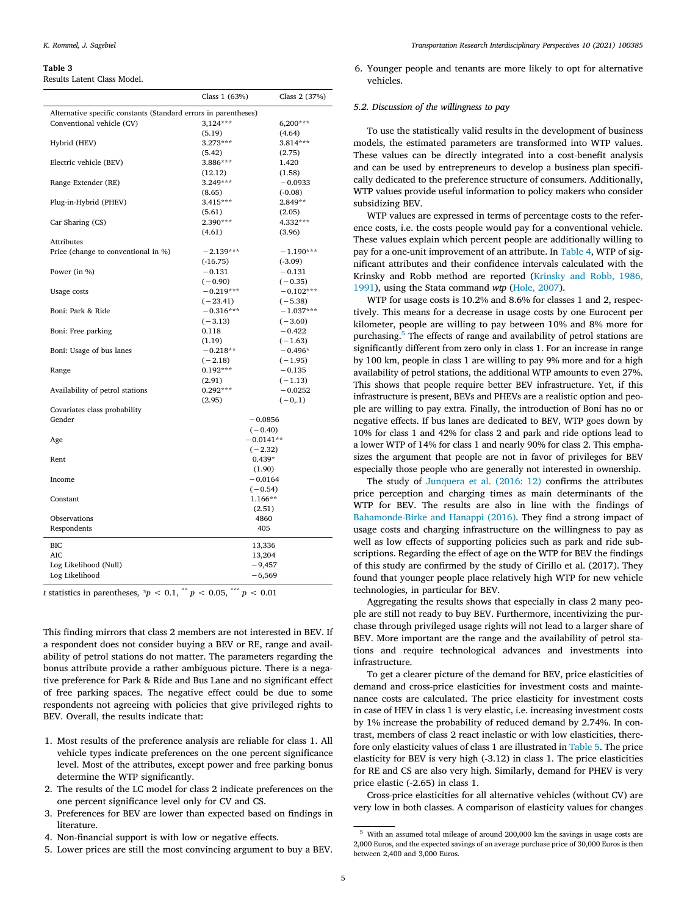#### <span id="page-4-0"></span>Table 3

Results Latent Class Model.

|                                                                 | Class $1(63%)$ | Class 2 (37%) |
|-----------------------------------------------------------------|----------------|---------------|
| Alternative specific constants (Standard errors in parentheses) |                |               |
| Conventional vehicle (CV)                                       | $3,124***$     | $6,200***$    |
|                                                                 | (5.19)         | (4.64)        |
| Hybrid (HEV)                                                    | $3.273***$     | $3.814***$    |
|                                                                 | (5.42)         | (2.75)        |
| Electric vehicle (BEV)                                          | 3.886***       | 1.420         |
|                                                                 | (12.12)        | (1.58)        |
| Range Extender (RE)                                             | 3.249***       | $-0.0933$     |
|                                                                 | (8.65)         | $(-0.08)$     |
| Plug-in-Hybrid (PHEV)                                           | $3.415***$     | $2.849**$     |
|                                                                 | (5.61)         | (2.05)        |
| Car Sharing (CS)                                                | 2.390***       | 4.332***      |
|                                                                 | (4.61)         | (3.96)        |
| <b>Attributes</b>                                               |                |               |
| Price (change to conventional in %)                             | $-2.139***$    | $-1.190***$   |
|                                                                 | $(-16.75)$     | $(-3.09)$     |
| Power (in %)                                                    | $-0.131$       | $-0.131$      |
|                                                                 | $(-0.90)$      | $(-0.35)$     |
| Usage costs                                                     | $-0.219***$    | $-0.102***$   |
|                                                                 | $(-23.41)$     | $(-5.38)$     |
| Boni: Park & Ride                                               | $-0.316***$    | $-1.037***$   |
|                                                                 | $(-3.13)$      | $(-3.60)$     |
| Boni: Free parking                                              | 0.118          | $-0.422$      |
|                                                                 | (1.19)         | $(-1.63)$     |
| Boni: Usage of bus lanes                                        | $-0.218**$     | $-0.496*$     |
|                                                                 | $(-2.18)$      | $(-1.95)$     |
| Range                                                           | $0.192***$     | $-0.135$      |
|                                                                 | (2.91)         | $(-1.13)$     |
| Availability of petrol stations                                 | $0.292***$     | $-0.0252$     |
|                                                                 | (2.95)         | $(-0,1)$      |
| Covariates class probability                                    |                |               |
| Gender                                                          | $-0.0856$      |               |
|                                                                 | $(-0.40)$      |               |
| Age                                                             | $-0.0141**$    |               |
|                                                                 | $(-2.32)$      |               |
| Rent                                                            | $0.439*$       |               |
|                                                                 | (1.90)         |               |
| Income                                                          | $-0.0164$      |               |
|                                                                 | $(-0.54)$      |               |
| Constant                                                        | 1.166**        |               |
|                                                                 | (2.51)         |               |
| Observations                                                    | 4860           |               |
| Respondents                                                     | 405            |               |
|                                                                 |                |               |
| BIC                                                             | 13,336         |               |
| <b>AIC</b>                                                      | 13,204         |               |
| Log Likelihood (Null)                                           | $-9,457$       |               |
| Log Likelihood                                                  | $-6,569$       |               |
|                                                                 |                |               |

t statistics in parentheses,  $\dot{p}$  < 0.1, \*\* p < 0.05, \*\*\* p < 0.01

This finding mirrors that class 2 members are not interested in BEV. If a respondent does not consider buying a BEV or RE, range and availability of petrol stations do not matter. The parameters regarding the bonus attribute provide a rather ambiguous picture. There is a negative preference for Park & Ride and Bus Lane and no significant effect of free parking spaces. The negative effect could be due to some respondents not agreeing with policies that give privileged rights to BEV. Overall, the results indicate that:

- 1. Most results of the preference analysis are reliable for class 1. All vehicle types indicate preferences on the one percent significance level. Most of the attributes, except power and free parking bonus determine the WTP significantly.
- 2. The results of the LC model for class 2 indicate preferences on the one percent significance level only for CV and CS.
- 3. Preferences for BEV are lower than expected based on findings in literature.
- 4. Non‐financial support is with low or negative effects.
- 5. Lower prices are still the most convincing argument to buy a BEV.

6. Younger people and tenants are more likely to opt for alternative vehicles.

## 5.2. Discussion of the willingness to pay

To use the statistically valid results in the development of business models, the estimated parameters are transformed into WTP values. These values can be directly integrated into a cost-benefit analysis and can be used by entrepreneurs to develop a business plan specifically dedicated to the preference structure of consumers. Additionally, WTP values provide useful information to policy makers who consider subsidizing BEV.

WTP values are expressed in terms of percentage costs to the reference costs, i.e. the costs people would pay for a conventional vehicle. These values explain which percent people are additionally willing to pay for a one-unit improvement of an attribute. In [Table 4,](#page-5-0) WTP of significant attributes and their confidence intervals calculated with the Krinsky and Robb method are reported [\(Krinsky and Robb, 1986,](#page-6-0) [1991\)](#page-6-0), using the Stata command wtp ([Hole, 2007](#page-6-0)).

WTP for usage costs is 10.2% and 8.6% for classes 1 and 2, respectively. This means for a decrease in usage costs by one Eurocent per kilometer, people are willing to pay between 10% and 8% more for purchasing.<sup>5</sup> The effects of range and availability of petrol stations are significantly different from zero only in class 1. For an increase in range by 100 km, people in class 1 are willing to pay 9% more and for a high availability of petrol stations, the additional WTP amounts to even 27%. This shows that people require better BEV infrastructure. Yet, if this infrastructure is present, BEVs and PHEVs are a realistic option and people are willing to pay extra. Finally, the introduction of Boni has no or negative effects. If bus lanes are dedicated to BEV, WTP goes down by 10% for class 1 and 42% for class 2 and park and ride options lead to a lower WTP of 14% for class 1 and nearly 90% for class 2. This emphasizes the argument that people are not in favor of privileges for BEV especially those people who are generally not interested in ownership.

The study of [Junquera et al. \(2016: 12\)](#page-6-0) confirms the attributes price perception and charging times as main determinants of the WTP for BEV. The results are also in line with the findings of [Bahamonde](#page-6-0)‐[Birke and Hanappi \(2016\)](#page-6-0). They find a strong impact of usage costs and charging infrastructure on the willingness to pay as well as low effects of supporting policies such as park and ride subscriptions. Regarding the effect of age on the WTP for BEV the findings of this study are confirmed by the study of Cirillo et al. (2017). They found that younger people place relatively high WTP for new vehicle technologies, in particular for BEV.

Aggregating the results shows that especially in class 2 many people are still not ready to buy BEV. Furthermore, incentivizing the purchase through privileged usage rights will not lead to a larger share of BEV. More important are the range and the availability of petrol stations and require technological advances and investments into infrastructure.

To get a clearer picture of the demand for BEV, price elasticities of demand and cross‐price elasticities for investment costs and maintenance costs are calculated. The price elasticity for investment costs in case of HEV in class 1 is very elastic, i.e. increasing investment costs by 1% increase the probability of reduced demand by 2.74%. In contrast, members of class 2 react inelastic or with low elasticities, therefore only elasticity values of class 1 are illustrated in [Table 5](#page-5-0). The price elasticity for BEV is very high (‐3.12) in class 1. The price elasticities for RE and CS are also very high. Similarly, demand for PHEV is very price elastic (‐2.65) in class 1.

Cross‐price elasticities for all alternative vehicles (without CV) are very low in both classes. A comparison of elasticity values for changes

<sup>5</sup> With an assumed total mileage of around 200,000 km the savings in usage costs are 2,000 Euros, and the expected savings of an average purchase price of 30,000 Euros is then between 2,400 and 3,000 Euros.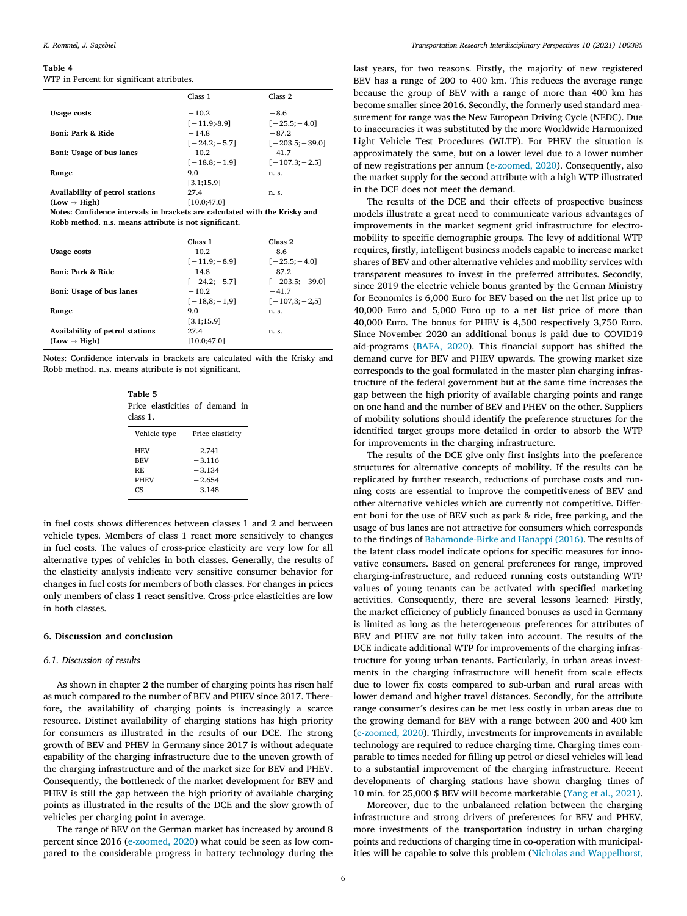#### <span id="page-5-0"></span>Table 4

WTP in Percent for significant attributes.

|                                 | Class 1         | Class <sub>2</sub> |
|---------------------------------|-----------------|--------------------|
| <b>Usage costs</b>              | $-10.2$         | $-8.6$             |
|                                 | $[-11.9: -8.9]$ | $[-25.5:-4.0]$     |
| Boni: Park & Ride               | $-14.8$         | $-87.2$            |
|                                 | $[-24.2:-5.7]$  | $[-203.5; -39.0]$  |
| Boni: Usage of bus lanes        | $-10.2$         | $-41.7$            |
|                                 | $[-18.8:-1.9]$  | $[-107.3; -2.5]$   |
| Range                           | 9.0             | n. s.              |
|                                 | [3.1; 15.9]     |                    |
| Availability of petrol stations | 27.4            | n. s.              |
| $(Low \rightarrow High)$        | [10.0:47.0]     |                    |
| -- - - -                        |                 |                    |

Notes: Confidence intervals in brackets are calculated with the Krisky and Robb method. n.s. means attribute is not significant.

|                                 | Class 1        | Class <sub>2</sub> |
|---------------------------------|----------------|--------------------|
| Usage costs                     | $-10.2$        | $-8.6$             |
|                                 | $[-11.9:-8.9]$ | $[-25.5:-4.0]$     |
| Boni: Park & Ride               | $-148$         | $-87.2$            |
|                                 | $[-24.2:-5.7]$ | $[-203.5:-39.0]$   |
| Boni: Usage of bus lanes        | $-10.2$        | $-41.7$            |
|                                 | $[-18.8:-1.9]$ | $[-107,3;-2,5]$    |
| Range                           | 9.0            | n. s.              |
|                                 | [3.1;15.9]     |                    |
| Availability of petrol stations | 27.4           | n. s.              |
| $(Low \rightarrow High)$        | [10.0; 47.0]   |                    |

Notes: Confidence intervals in brackets are calculated with the Krisky and Robb method. n.s. means attribute is not significant.

Table 5 Price elasticities of demand in class 1.

| Vehicle type                                         | Price elasticity                                         |  |  |
|------------------------------------------------------|----------------------------------------------------------|--|--|
| <b>HEV</b><br><b>BEV</b><br>RF.<br><b>PHEV</b><br>CS | $-2.741$<br>$-3.116$<br>$-3.134$<br>$-2.654$<br>$-3.148$ |  |  |

in fuel costs shows differences between classes 1 and 2 and between vehicle types. Members of class 1 react more sensitively to changes in fuel costs. The values of cross‐price elasticity are very low for all alternative types of vehicles in both classes. Generally, the results of the elasticity analysis indicate very sensitive consumer behavior for changes in fuel costs for members of both classes. For changes in prices only members of class 1 react sensitive. Cross‐price elasticities are low in both classes.

## 6. Discussion and conclusion

#### 6.1. Discussion of results

As shown in chapter 2 the number of charging points has risen half as much compared to the number of BEV and PHEV since 2017. Therefore, the availability of charging points is increasingly a scarce resource. Distinct availability of charging stations has high priority for consumers as illustrated in the results of our DCE. The strong growth of BEV and PHEV in Germany since 2017 is without adequate capability of the charging infrastructure due to the uneven growth of the charging infrastructure and of the market size for BEV and PHEV. Consequently, the bottleneck of the market development for BEV and PHEV is still the gap between the high priority of available charging points as illustrated in the results of the DCE and the slow growth of vehicles per charging point in average.

The range of BEV on the German market has increased by around 8 percent since 2016 [\(e](#page-6-0)‐[zoomed, 2020\)](#page-6-0) what could be seen as low compared to the considerable progress in battery technology during the last years, for two reasons. Firstly, the majority of new registered BEV has a range of 200 to 400 km. This reduces the average range because the group of BEV with a range of more than 400 km has become smaller since 2016. Secondly, the formerly used standard measurement for range was the New European Driving Cycle (NEDC). Due to inaccuracies it was substituted by the more Worldwide Harmonized Light Vehicle Test Procedures (WLTP). For PHEV the situation is approximately the same, but on a lower level due to a lower number of new registrations per annum [\(e](#page-6-0)‐[zoomed, 2020\)](#page-6-0). Consequently, also the market supply for the second attribute with a high WTP illustrated in the DCE does not meet the demand.

The results of the DCE and their effects of prospective business models illustrate a great need to communicate various advantages of improvements in the market segment grid infrastructure for electromobility to specific demographic groups. The levy of additional WTP requires, firstly, intelligent business models capable to increase market shares of BEV and other alternative vehicles and mobility services with transparent measures to invest in the preferred attributes. Secondly, since 2019 the electric vehicle bonus granted by the German Ministry for Economics is 6,000 Euro for BEV based on the net list price up to 40,000 Euro and 5,000 Euro up to a net list price of more than 40,000 Euro. The bonus for PHEV is 4,500 respectively 3,750 Euro. Since November 2020 an additional bonus is paid due to COVID19 aid‐programs [\(BAFA, 2020](#page-6-0)). This financial support has shifted the demand curve for BEV and PHEV upwards. The growing market size corresponds to the goal formulated in the master plan charging infrastructure of the federal government but at the same time increases the gap between the high priority of available charging points and range on one hand and the number of BEV and PHEV on the other. Suppliers of mobility solutions should identify the preference structures for the identified target groups more detailed in order to absorb the WTP for improvements in the charging infrastructure.

The results of the DCE give only first insights into the preference structures for alternative concepts of mobility. If the results can be replicated by further research, reductions of purchase costs and running costs are essential to improve the competitiveness of BEV and other alternative vehicles which are currently not competitive. Different boni for the use of BEV such as park & ride, free parking, and the usage of bus lanes are not attractive for consumers which corresponds to the findings of [Bahamonde](#page-6-0)‐[Birke and Hanappi \(2016\).](#page-6-0) The results of the latent class model indicate options for specific measures for innovative consumers. Based on general preferences for range, improved charging‐infrastructure, and reduced running costs outstanding WTP values of young tenants can be activated with specified marketing activities. Consequently, there are several lessons learned: Firstly, the market efficiency of publicly financed bonuses as used in Germany is limited as long as the heterogeneous preferences for attributes of BEV and PHEV are not fully taken into account. The results of the DCE indicate additional WTP for improvements of the charging infrastructure for young urban tenants. Particularly, in urban areas investments in the charging infrastructure will benefit from scale effects due to lower fix costs compared to sub‐urban and rural areas with lower demand and higher travel distances. Secondly, for the attribute range consumer´s desires can be met less costly in urban areas due to the growing demand for BEV with a range between 200 and 400 km ([e](#page-6-0)‐[zoomed, 2020](#page-6-0)). Thirdly, investments for improvements in available technology are required to reduce charging time. Charging times comparable to times needed for filling up petrol or diesel vehicles will lead to a substantial improvement of the charging infrastructure. Recent developments of charging stations have shown charging times of 10 min. for 25,000 \$ BEV will become marketable ([Yang et al., 2021](#page-6-0)).

Moreover, due to the unbalanced relation between the charging infrastructure and strong drivers of preferences for BEV and PHEV, more investments of the transportation industry in urban charging points and reductions of charging time in co-operation with municipalities will be capable to solve this problem [\(Nicholas and Wappelhorst,](#page-6-0)